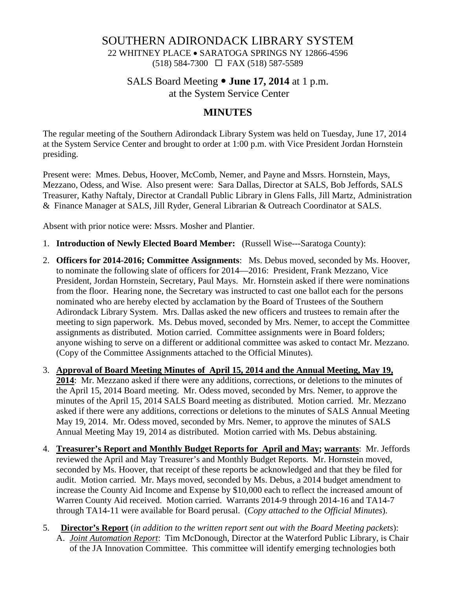#### SOUTHERN ADIRONDACK LIBRARY SYSTEM

22 WHITNEY PLACE • SARATOGA SPRINGS NY 12866-4596 (518) 584-7300 FAX (518) 587-5589

# SALS Board Meeting **June 17, 2014** at 1 p.m. at the System Service Center

## **MINUTES**

The regular meeting of the Southern Adirondack Library System was held on Tuesday, June 17, 2014 at the System Service Center and brought to order at 1:00 p.m. with Vice President Jordan Hornstein presiding.

Present were: Mmes. Debus, Hoover, McComb, Nemer, and Payne and Mssrs. Hornstein, Mays, Mezzano, Odess, and Wise. Also present were: Sara Dallas, Director at SALS, Bob Jeffords, SALS Treasurer, Kathy Naftaly, Director at Crandall Public Library in Glens Falls, Jill Martz, Administration & Finance Manager at SALS, Jill Ryder, General Librarian & Outreach Coordinator at SALS.

Absent with prior notice were: Mssrs. Mosher and Plantier.

- 1. **Introduction of Newly Elected Board Member:** (Russell Wise---Saratoga County):
- 2. **Officers for 2014-2016; Committee Assignments**: Ms. Debus moved, seconded by Ms. Hoover, to nominate the following slate of officers for 2014—2016: President, Frank Mezzano, Vice President, Jordan Hornstein, Secretary, Paul Mays. Mr. Hornstein asked if there were nominations from the floor. Hearing none, the Secretary was instructed to cast one ballot each for the persons nominated who are hereby elected by acclamation by the Board of Trustees of the Southern Adirondack Library System. Mrs. Dallas asked the new officers and trustees to remain after the meeting to sign paperwork. Ms. Debus moved, seconded by Mrs. Nemer, to accept the Committee assignments as distributed. Motion carried. Committee assignments were in Board folders; anyone wishing to serve on a different or additional committee was asked to contact Mr. Mezzano. (Copy of the Committee Assignments attached to the Official Minutes).
- 3. **Approval of Board Meeting Minutes of April 15, 2014 and the Annual Meeting, May 19, 2014**: Mr. Mezzano asked if there were any additions, corrections, or deletions to the minutes of the April 15, 2014 Board meeting. Mr. Odess moved, seconded by Mrs. Nemer, to approve the minutes of the April 15, 2014 SALS Board meeting as distributed. Motion carried. Mr. Mezzano asked if there were any additions, corrections or deletions to the minutes of SALS Annual Meeting May 19, 2014. Mr. Odess moved, seconded by Mrs. Nemer, to approve the minutes of SALS Annual Meeting May 19, 2014 as distributed. Motion carried with Ms. Debus abstaining.
- 4. **Treasurer's Report and Monthly Budget Reports for April and May; warrants**: Mr. Jeffords reviewed the April and May Treasurer's and Monthly Budget Reports. Mr. Hornstein moved, seconded by Ms. Hoover, that receipt of these reports be acknowledged and that they be filed for audit. Motion carried. Mr. Mays moved, seconded by Ms. Debus, a 2014 budget amendment to increase the County Aid Income and Expense by \$10,000 each to reflect the increased amount of Warren County Aid received. Motion carried. Warrants 2014-9 through 2014-16 and TA14-7 through TA14-11 were available for Board perusal. (*Copy attached to the Official Minutes*).
- 5. **Director's Report** (*in addition to the written report sent out with the Board Meeting packets*): A. *Joint Automation Report*: Tim McDonough, Director at the Waterford Public Library, is Chair of the JA Innovation Committee. This committee will identify emerging technologies both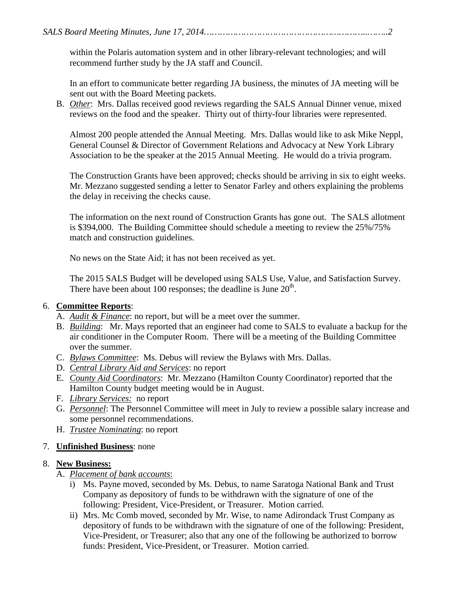within the Polaris automation system and in other library-relevant technologies; and will recommend further study by the JA staff and Council.

In an effort to communicate better regarding JA business, the minutes of JA meeting will be sent out with the Board Meeting packets.

B. *Other*: Mrs. Dallas received good reviews regarding the SALS Annual Dinner venue, mixed reviews on the food and the speaker. Thirty out of thirty-four libraries were represented.

Almost 200 people attended the Annual Meeting. Mrs. Dallas would like to ask Mike Neppl, General Counsel & Director of Government Relations and Advocacy at New York Library Association to be the speaker at the 2015 Annual Meeting. He would do a trivia program.

The Construction Grants have been approved; checks should be arriving in six to eight weeks. Mr. Mezzano suggested sending a letter to Senator Farley and others explaining the problems the delay in receiving the checks cause.

The information on the next round of Construction Grants has gone out. The SALS allotment is \$394,000. The Building Committee should schedule a meeting to review the 25%/75% match and construction guidelines.

No news on the State Aid; it has not been received as yet.

The 2015 SALS Budget will be developed using SALS Use, Value, and Satisfaction Survey. There have been about 100 responses; the deadline is June  $20<sup>th</sup>$ .

### 6. **Committee Reports**:

- A. *Audit & Finance*: no report, but will be a meet over the summer.
- B. *Building*: Mr. Mays reported that an engineer had come to SALS to evaluate a backup for the air conditioner in the Computer Room. There will be a meeting of the Building Committee over the summer.
- C. *Bylaws Committee*: Ms. Debus will review the Bylaws with Mrs. Dallas.
- D. *Central Library Aid and Services*: no report
- E. *County Aid Coordinators*: Mr. Mezzano (Hamilton County Coordinator) reported that the Hamilton County budget meeting would be in August.
- F. *Library Services:* no report
- G. *Personnel*: The Personnel Committee will meet in July to review a possible salary increase and some personnel recommendations.
- H. *Trustee Nominating*: no report

### 7. **Unfinished Business**: none

### 8. **New Business:**

- A. *Placement of bank accounts*:
	- i) Ms. Payne moved, seconded by Ms. Debus, to name Saratoga National Bank and Trust Company as depository of funds to be withdrawn with the signature of one of the following: President, Vice-President, or Treasurer. Motion carried.
	- ii) Mrs. Mc Comb moved, seconded by Mr. Wise, to name Adirondack Trust Company as depository of funds to be withdrawn with the signature of one of the following: President, Vice-President, or Treasurer; also that any one of the following be authorized to borrow funds: President, Vice-President, or Treasurer. Motion carried.